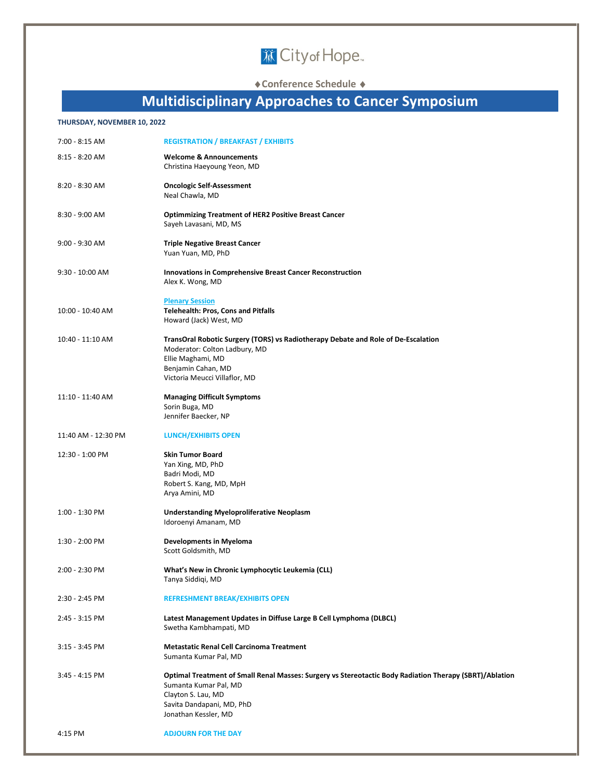

### ◆ Conference Schedule ◆

### **Multidisciplinary Approaches to Cancer Symposium**

#### **THURSDAY, NOVEMBER 10, 2022**

| 7:00 - 8:15 AM      | <b>REGISTRATION / BREAKFAST / EXHIBITS</b>                                                                                                                                                                  |
|---------------------|-------------------------------------------------------------------------------------------------------------------------------------------------------------------------------------------------------------|
| $8:15 - 8:20$ AM    | <b>Welcome &amp; Announcements</b><br>Christina Haeyoung Yeon, MD                                                                                                                                           |
| 8:20 - 8:30 AM      | <b>Oncologic Self-Assessment</b><br>Neal Chawla, MD                                                                                                                                                         |
| 8:30 - 9:00 AM      | <b>Optimmizing Treatment of HER2 Positive Breast Cancer</b><br>Sayeh Lavasani, MD, MS                                                                                                                       |
| $9:00 - 9:30$ AM    | <b>Triple Negative Breast Cancer</b><br>Yuan Yuan, MD, PhD                                                                                                                                                  |
| $9:30 - 10:00$ AM   | <b>Innovations in Comprehensive Breast Cancer Reconstruction</b><br>Alex K. Wong, MD                                                                                                                        |
| 10:00 - 10:40 AM    | <b>Plenary Session</b><br><b>Telehealth: Pros, Cons and Pitfalls</b><br>Howard (Jack) West, MD                                                                                                              |
| 10:40 - 11:10 AM    | TransOral Robotic Surgery (TORS) vs Radiotherapy Debate and Role of De-Escalation<br>Moderator: Colton Ladbury, MD<br>Ellie Maghami, MD<br>Benjamin Cahan, MD<br>Victoria Meucci Villaflor, MD              |
| 11:10 - 11:40 AM    | <b>Managing Difficult Symptoms</b><br>Sorin Buga, MD<br>Jennifer Baecker, NP                                                                                                                                |
| 11:40 AM - 12:30 PM | <b>LUNCH/EXHIBITS OPEN</b>                                                                                                                                                                                  |
| 12:30 - 1:00 PM     | <b>Skin Tumor Board</b><br>Yan Xing, MD, PhD<br>Badri Modi, MD<br>Robert S. Kang, MD, MpH<br>Arya Amini, MD                                                                                                 |
| 1:00 - 1:30 PM      | <b>Understanding Myeloproliferative Neoplasm</b><br>Idoroenyi Amanam, MD                                                                                                                                    |
| 1:30 - 2:00 PM      | <b>Developments in Myeloma</b><br>Scott Goldsmith, MD                                                                                                                                                       |
| 2:00 - 2:30 PM      | What's New in Chronic Lymphocytic Leukemia (CLL)<br>Tanya Siddiqi, MD                                                                                                                                       |
| 2:30 - 2:45 PM      | <b>REFRESHMENT BREAK/EXHIBITS OPEN</b>                                                                                                                                                                      |
| 2:45 - 3:15 PM      | Latest Management Updates in Diffuse Large B Cell Lymphoma (DLBCL)<br>Swetha Kambhampati, MD                                                                                                                |
| $3:15 - 3:45$ PM    | <b>Metastatic Renal Cell Carcinoma Treatment</b><br>Sumanta Kumar Pal, MD                                                                                                                                   |
| 3:45 - 4:15 PM      | Optimal Treatment of Small Renal Masses: Surgery vs Stereotactic Body Radiation Therapy (SBRT)/Ablation<br>Sumanta Kumar Pal, MD<br>Clayton S. Lau, MD<br>Savita Dandapani, MD, PhD<br>Jonathan Kessler, MD |
| 4:15 PM             | <b>ADJOURN FOR THE DAY</b>                                                                                                                                                                                  |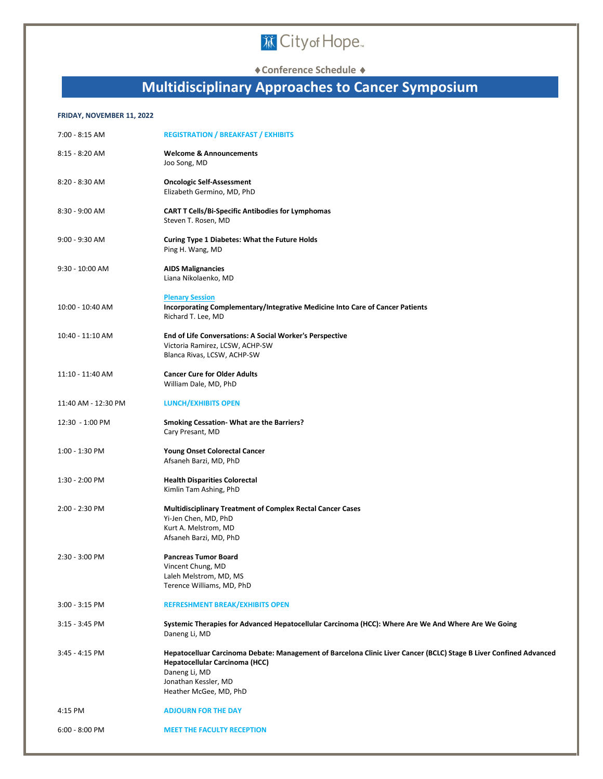# **DECityof Hope.**

**Conference Schedule** 

### **Multidisciplinary Approaches to Cancer Symposium**

#### **FRIDAY, NOVEMBER 11, 2022**

| 7:00 - 8:15 AM      | <b>REGISTRATION / BREAKFAST / EXHIBITS</b>                                                                                                                                                                              |
|---------------------|-------------------------------------------------------------------------------------------------------------------------------------------------------------------------------------------------------------------------|
| $8:15 - 8:20$ AM    | <b>Welcome &amp; Announcements</b><br>Joo Song, MD                                                                                                                                                                      |
| 8:20 - 8:30 AM      | <b>Oncologic Self-Assessment</b><br>Elizabeth Germino, MD, PhD                                                                                                                                                          |
| 8:30 - 9:00 AM      | <b>CART T Cells/Bi-Specific Antibodies for Lymphomas</b><br>Steven T. Rosen, MD                                                                                                                                         |
| 9:00 - 9:30 AM      | <b>Curing Type 1 Diabetes: What the Future Holds</b><br>Ping H. Wang, MD                                                                                                                                                |
| $9:30 - 10:00$ AM   | <b>AIDS Malignancies</b><br>Liana Nikolaenko, MD                                                                                                                                                                        |
| 10:00 - 10:40 AM    | <b>Plenary Session</b><br>Incorporating Complementary/Integrative Medicine Into Care of Cancer Patients<br>Richard T. Lee, MD                                                                                           |
| 10:40 - 11:10 AM    | <b>End of Life Conversations: A Social Worker's Perspective</b><br>Victoria Ramirez, LCSW, ACHP-SW<br>Blanca Rivas, LCSW, ACHP-SW                                                                                       |
| 11:10 - 11:40 AM    | <b>Cancer Cure for Older Adults</b><br>William Dale, MD, PhD                                                                                                                                                            |
| 11:40 AM - 12:30 PM | <b>LUNCH/EXHIBITS OPEN</b>                                                                                                                                                                                              |
| 12:30 - 1:00 PM     | <b>Smoking Cessation-What are the Barriers?</b><br>Cary Presant, MD                                                                                                                                                     |
| 1:00 - 1:30 PM      | <b>Young Onset Colorectal Cancer</b><br>Afsaneh Barzi, MD, PhD                                                                                                                                                          |
| 1:30 - 2:00 PM      | <b>Health Disparities Colorectal</b><br>Kimlin Tam Ashing, PhD                                                                                                                                                          |
| 2:00 - 2:30 PM      | <b>Multidisciplinary Treatment of Complex Rectal Cancer Cases</b><br>Yi-Jen Chen, MD, PhD<br>Kurt A. Melstrom, MD<br>Afsaneh Barzi, MD, PhD                                                                             |
| 2:30 - 3:00 PM      | <b>Pancreas Tumor Board</b><br>Vincent Chung, MD<br>Laleh Melstrom, MD, MS<br>Terence Williams, MD, PhD                                                                                                                 |
| $3:00 - 3:15$ PM    | <b>REFRESHMENT BREAK/EXHIBITS OPEN</b>                                                                                                                                                                                  |
| $3:15 - 3:45$ PM    | Systemic Therapies for Advanced Hepatocellular Carcinoma (HCC): Where Are We And Where Are We Going<br>Daneng Li, MD                                                                                                    |
| 3:45 - 4:15 PM      | Hepatocelluar Carcinoma Debate: Management of Barcelona Clinic Liver Cancer (BCLC) Stage B Liver Confined Advanced<br>Hepatocellular Carcinoma (HCC)<br>Daneng Li, MD<br>Jonathan Kessler, MD<br>Heather McGee, MD, PhD |
| 4:15 PM             | <b>ADJOURN FOR THE DAY</b>                                                                                                                                                                                              |
| $6:00 - 8:00$ PM    | <b>MEET THE FACULTY RECEPTION</b>                                                                                                                                                                                       |